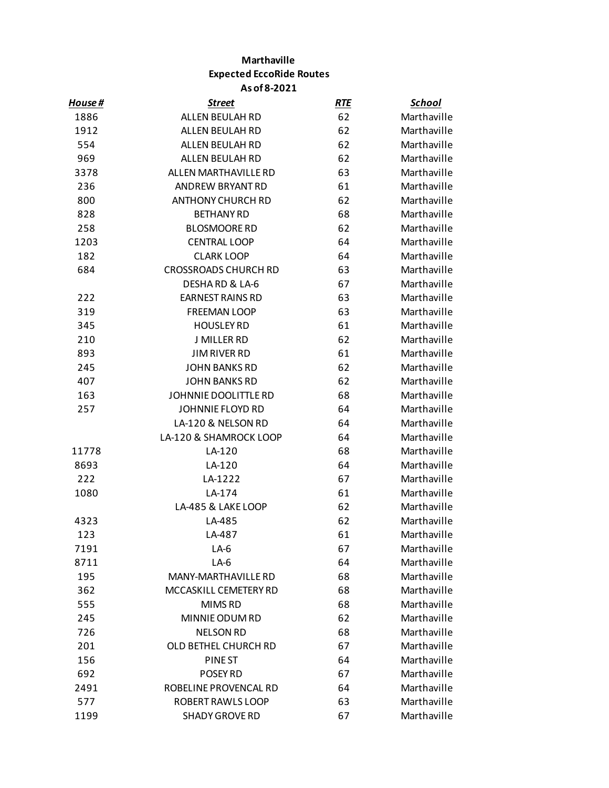## **Marthaville Expected EccoRide Routes As of 8-2021**

| House# | <b>Street</b>               | <b>RTE</b> | <b>School</b> |
|--------|-----------------------------|------------|---------------|
| 1886   | ALLEN BEULAH RD             | 62         | Marthaville   |
| 1912   | <b>ALLEN BEULAH RD</b>      | 62         | Marthaville   |
| 554    | ALLEN BEULAH RD             | 62         | Marthaville   |
| 969    | ALLEN BEULAH RD             | 62         | Marthaville   |
| 3378   | ALLEN MARTHAVILLE RD        | 63         | Marthaville   |
| 236    | ANDREW BRYANT RD            | 61         | Marthaville   |
| 800    | <b>ANTHONY CHURCH RD</b>    | 62         | Marthaville   |
| 828    | <b>BETHANY RD</b>           | 68         | Marthaville   |
| 258    | <b>BLOSMOORE RD</b>         | 62         | Marthaville   |
| 1203   | <b>CENTRAL LOOP</b>         | 64         | Marthaville   |
| 182    | <b>CLARK LOOP</b>           | 64         | Marthaville   |
| 684    | <b>CROSSROADS CHURCH RD</b> | 63         | Marthaville   |
|        | DESHARD & LA-6              | 67         | Marthaville   |
| 222    | <b>EARNEST RAINS RD</b>     | 63         | Marthaville   |
| 319    | <b>FREEMAN LOOP</b>         | 63         | Marthaville   |
| 345    | <b>HOUSLEY RD</b>           | 61         | Marthaville   |
| 210    | J MILLER RD                 | 62         | Marthaville   |
| 893    | <b>JIM RIVER RD</b>         | 61         | Marthaville   |
| 245    | <b>JOHN BANKS RD</b>        | 62         | Marthaville   |
| 407    | <b>JOHN BANKS RD</b>        | 62         | Marthaville   |
| 163    | JOHNNIE DOOLITTLE RD        | 68         | Marthaville   |
| 257    | JOHNNIE FLOYD RD            | 64         | Marthaville   |
|        | LA-120 & NELSON RD          | 64         | Marthaville   |
|        | LA-120 & SHAMROCK LOOP      | 64         | Marthaville   |
| 11778  | LA-120                      | 68         | Marthaville   |
| 8693   | LA-120                      | 64         | Marthaville   |
| 222    | LA-1222                     | 67         | Marthaville   |
| 1080   | LA-174                      | 61         | Marthaville   |
|        | LA-485 & LAKE LOOP          | 62         | Marthaville   |
| 4323   | LA-485                      | 62         | Marthaville   |
| 123    | LA-487                      | 61         | Marthaville   |
| 7191   | $LA-6$                      | 67         | Marthaville   |
| 8711   | $LA-6$                      | 64         | Marthaville   |
| 195    | <b>MANY-MARTHAVILLE RD</b>  | 68         | Marthaville   |
| 362    | MCCASKILL CEMETERY RD       | 68         | Marthaville   |
| 555    | MIMS RD                     | 68         | Marthaville   |
| 245    | MINNIE ODUM RD              | 62         | Marthaville   |
| 726    | <b>NELSON RD</b>            | 68         | Marthaville   |
| 201    | OLD BETHEL CHURCH RD        | 67         | Marthaville   |
| 156    | PINE ST                     | 64         | Marthaville   |
| 692    | POSEY RD                    | 67         | Marthaville   |
| 2491   | ROBELINE PROVENCAL RD       | 64         | Marthaville   |
| 577    | ROBERT RAWLS LOOP           | 63         | Marthaville   |
| 1199   | <b>SHADY GROVE RD</b>       | 67         | Marthaville   |